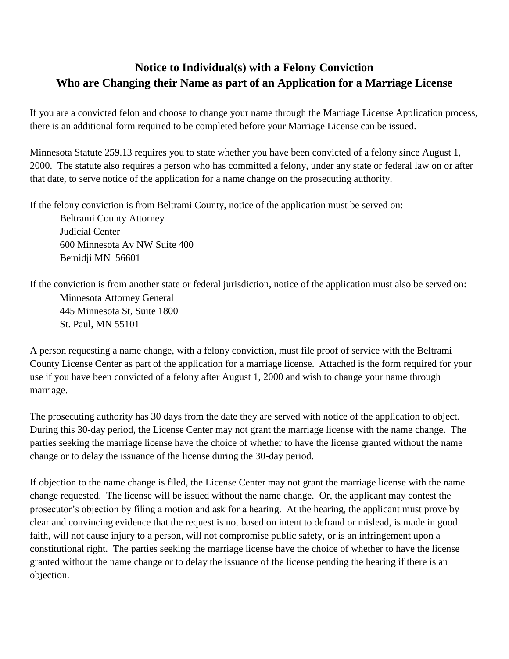## **Notice to Individual(s) with a Felony Conviction Who are Changing their Name as part of an Application for a Marriage License**

If you are a convicted felon and choose to change your name through the Marriage License Application process, there is an additional form required to be completed before your Marriage License can be issued.

Minnesota Statute 259.13 requires you to state whether you have been convicted of a felony since August 1, 2000. The statute also requires a person who has committed a felony, under any state or federal law on or after that date, to serve notice of the application for a name change on the prosecuting authority.

If the felony conviction is from Beltrami County, notice of the application must be served on:

Beltrami County Attorney Judicial Center 600 Minnesota Av NW Suite 400 Bemidji MN 56601

If the conviction is from another state or federal jurisdiction, notice of the application must also be served on: Minnesota Attorney General 445 Minnesota St, Suite 1800 St. Paul, MN 55101

A person requesting a name change, with a felony conviction, must file proof of service with the Beltrami County License Center as part of the application for a marriage license. Attached is the form required for your use if you have been convicted of a felony after August 1, 2000 and wish to change your name through marriage.

The prosecuting authority has 30 days from the date they are served with notice of the application to object. During this 30-day period, the License Center may not grant the marriage license with the name change. The parties seeking the marriage license have the choice of whether to have the license granted without the name change or to delay the issuance of the license during the 30-day period.

If objection to the name change is filed, the License Center may not grant the marriage license with the name change requested. The license will be issued without the name change. Or, the applicant may contest the prosecutor's objection by filing a motion and ask for a hearing. At the hearing, the applicant must prove by clear and convincing evidence that the request is not based on intent to defraud or mislead, is made in good faith, will not cause injury to a person, will not compromise public safety, or is an infringement upon a constitutional right. The parties seeking the marriage license have the choice of whether to have the license granted without the name change or to delay the issuance of the license pending the hearing if there is an objection.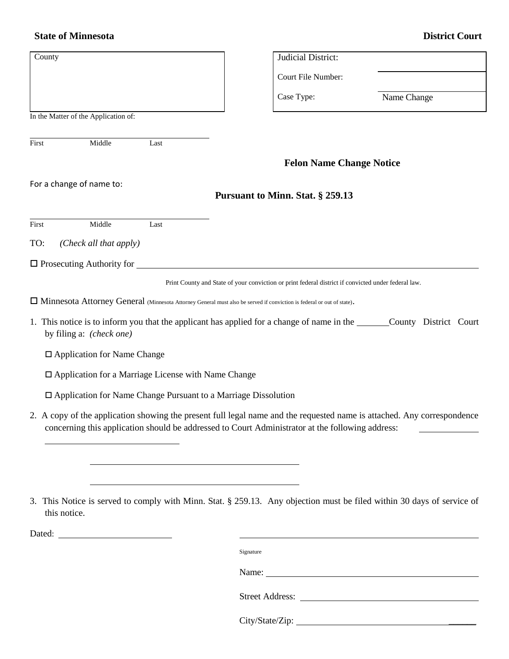## **State of Minnesota District Court**

| County                                                                | Judicial District:                                                                                                                                                                                                          |             |
|-----------------------------------------------------------------------|-----------------------------------------------------------------------------------------------------------------------------------------------------------------------------------------------------------------------------|-------------|
|                                                                       | Court File Number:                                                                                                                                                                                                          |             |
|                                                                       |                                                                                                                                                                                                                             |             |
|                                                                       | Case Type:                                                                                                                                                                                                                  | Name Change |
| In the Matter of the Application of:                                  |                                                                                                                                                                                                                             |             |
|                                                                       |                                                                                                                                                                                                                             |             |
| Middle<br>First<br>Last                                               |                                                                                                                                                                                                                             |             |
|                                                                       | <b>Felon Name Change Notice</b>                                                                                                                                                                                             |             |
| For a change of name to:                                              |                                                                                                                                                                                                                             |             |
|                                                                       | Pursuant to Minn. Stat. § 259.13                                                                                                                                                                                            |             |
|                                                                       |                                                                                                                                                                                                                             |             |
| First<br>Middle<br>Last                                               |                                                                                                                                                                                                                             |             |
| (Check all that apply)<br>TO:                                         |                                                                                                                                                                                                                             |             |
| $\Box$ Prosecuting Authority for                                      |                                                                                                                                                                                                                             |             |
|                                                                       | Print County and State of your conviction or print federal district if convicted under federal law.                                                                                                                         |             |
|                                                                       |                                                                                                                                                                                                                             |             |
|                                                                       | □ Minnesota Attorney General (Minnesota Attorney General must also be served if conviction is federal or out of state).                                                                                                     |             |
| by filing a: (check one)                                              | 1. This notice is to inform you that the applicant has applied for a change of name in the _______County District Court                                                                                                     |             |
| $\Box$ Application for Name Change                                    |                                                                                                                                                                                                                             |             |
| $\Box$ Application for a Marriage License with Name Change            |                                                                                                                                                                                                                             |             |
| $\Box$ Application for Name Change Pursuant to a Marriage Dissolution |                                                                                                                                                                                                                             |             |
|                                                                       | 2. A copy of the application showing the present full legal name and the requested name is attached. Any correspondence<br>concerning this application should be addressed to Court Administrator at the following address: |             |
|                                                                       |                                                                                                                                                                                                                             |             |
|                                                                       |                                                                                                                                                                                                                             |             |
| this notice.                                                          | 3. This Notice is served to comply with Minn. Stat. § 259.13. Any objection must be filed within 30 days of service of                                                                                                      |             |
|                                                                       |                                                                                                                                                                                                                             |             |
|                                                                       | Signature                                                                                                                                                                                                                   |             |
|                                                                       | Name:                                                                                                                                                                                                                       |             |
|                                                                       |                                                                                                                                                                                                                             |             |
|                                                                       |                                                                                                                                                                                                                             |             |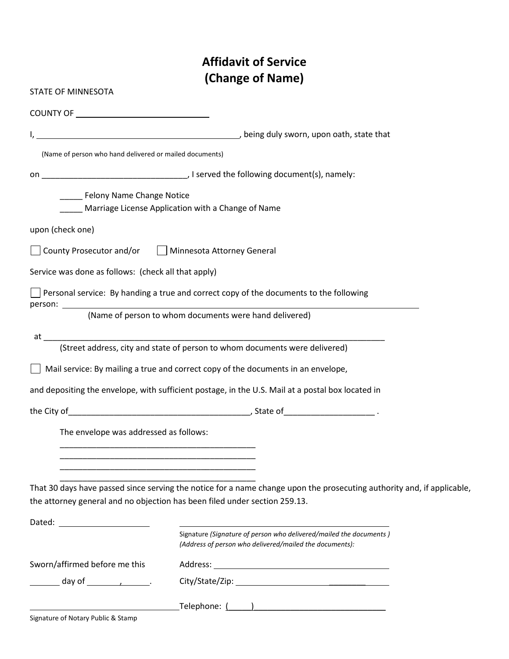# **Affidavit of Service (Change of Name)**

| STATE OF MINNESOTA                                                                                             |                                                                                                                               |
|----------------------------------------------------------------------------------------------------------------|-------------------------------------------------------------------------------------------------------------------------------|
|                                                                                                                |                                                                                                                               |
|                                                                                                                | end that that that the same series are that that that that the same series and the series of the series of the s              |
| (Name of person who hand delivered or mailed documents)                                                        |                                                                                                                               |
|                                                                                                                |                                                                                                                               |
| Felony Name Change Notice<br>_____ Marriage License Application with a Change of Name                          |                                                                                                                               |
| upon (check one)                                                                                               |                                                                                                                               |
| ◯ County Prosecutor and/or │ Minnesota Attorney General                                                        |                                                                                                                               |
| Service was done as follows: (check all that apply)                                                            |                                                                                                                               |
|                                                                                                                | Personal service: By handing a true and correct copy of the documents to the following                                        |
|                                                                                                                |                                                                                                                               |
|                                                                                                                | (Street address, city and state of person to whom documents were delivered)                                                   |
|                                                                                                                | Mail service: By mailing a true and correct copy of the documents in an envelope,                                             |
|                                                                                                                | and depositing the envelope, with sufficient postage, in the U.S. Mail at a postal box located in                             |
|                                                                                                                |                                                                                                                               |
| The envelope was addressed as follows:                                                                         |                                                                                                                               |
|                                                                                                                |                                                                                                                               |
|                                                                                                                |                                                                                                                               |
| the attorney general and no objection has been filed under section 259.13.                                     | That 30 days have passed since serving the notice for a name change upon the prosecuting authority and, if applicable,        |
|                                                                                                                |                                                                                                                               |
|                                                                                                                | Signature (Signature of person who delivered/mailed the documents)<br>(Address of person who delivered/mailed the documents): |
| Sworn/affirmed before me this                                                                                  |                                                                                                                               |
| day of the contract of the contract of the contract of the contract of the contract of the contract of the con |                                                                                                                               |
|                                                                                                                |                                                                                                                               |
|                                                                                                                |                                                                                                                               |